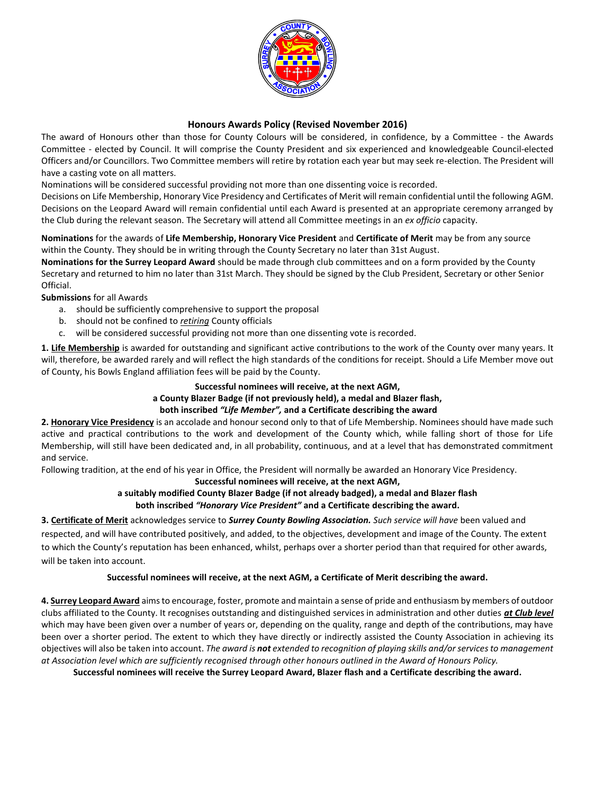

# **Honours Awards Policy (Revised November 2016)**

The award of Honours other than those for County Colours will be considered, in confidence, by a Committee - the Awards Committee - elected by Council. It will comprise the County President and six experienced and knowledgeable Council-elected Officers and/or Councillors. Two Committee members will retire by rotation each year but may seek re-election. The President will have a casting vote on all matters.

Nominations will be considered successful providing not more than one dissenting voice is recorded.

Decisions on Life Membership, Honorary Vice Presidency and Certificates of Merit will remain confidential until the following AGM. Decisions on the Leopard Award will remain confidential until each Award is presented at an appropriate ceremony arranged by the Club during the relevant season. The Secretary will attend all Committee meetings in an *ex officio* capacity.

**Nominations** for the awards of **Life Membership, Honorary Vice President** and **Certificate of Merit** may be from any source within the County. They should be in writing through the County Secretary no later than 31st August.

**Nominations for the Surrey Leopard Award** should be made through club committees and on a form provided by the County Secretary and returned to him no later than 31st March. They should be signed by the Club President, Secretary or other Senior Official.

**Submissions** for all Awards

- a. should be sufficiently comprehensive to support the proposal
- b. should not be confined to *retiring* County officials
- c. will be considered successful providing not more than one dissenting vote is recorded.

**1. Life Membership** is awarded for outstanding and significant active contributions to the work of the County over many years. It will, therefore, be awarded rarely and will reflect the high standards of the conditions for receipt. Should a Life Member move out of County, his Bowls England affiliation fees will be paid by the County.

#### **Successful nominees will receive, at the next AGM,**

### **a County Blazer Badge (if not previously held), a medal and Blazer flash,**

#### **both inscribed** *"Life Member",* **and a Certificate describing the award**

**2. Honorary Vice Presidency** is an accolade and honour second only to that of Life Membership. Nominees should have made such active and practical contributions to the work and development of the County which, while falling short of those for Life Membership, will still have been dedicated and, in all probability, continuous, and at a level that has demonstrated commitment and service.

Following tradition, at the end of his year in Office, the President will normally be awarded an Honorary Vice Presidency.

#### **Successful nominees will receive, at the next AGM,**

## **a suitably modified County Blazer Badge (if not already badged), a medal and Blazer flash both inscribed** *"Honorary Vice President"* **and a Certificate describing the award.**

**3. Certificate of Merit** acknowledges service to *Surrey County Bowling Association. Such service will have* been valued and respected, and will have contributed positively, and added, to the objectives, development and image of the County. The extent to which the County's reputation has been enhanced, whilst, perhaps over a shorter period than that required for other awards, will be taken into account.

### **Successful nominees will receive, at the next AGM, a Certificate of Merit describing the award.**

**4. Surrey Leopard Award** aims to encourage, foster, promote and maintain a sense of pride and enthusiasm by members of outdoor clubs affiliated to the County. It recognises outstanding and distinguished services in administration and other duties *at Club level* which may have been given over a number of years or, depending on the quality, range and depth of the contributions, may have been over a shorter period. The extent to which they have directly or indirectly assisted the County Association in achieving its objectives will also be taken into account. *The award is not extended to recognition of playing skills and/or services to management at Association level which are sufficiently recognised through other honours outlined in the Award of Honours Policy.*

**Successful nominees will receive the Surrey Leopard Award, Blazer flash and a Certificate describing the award.**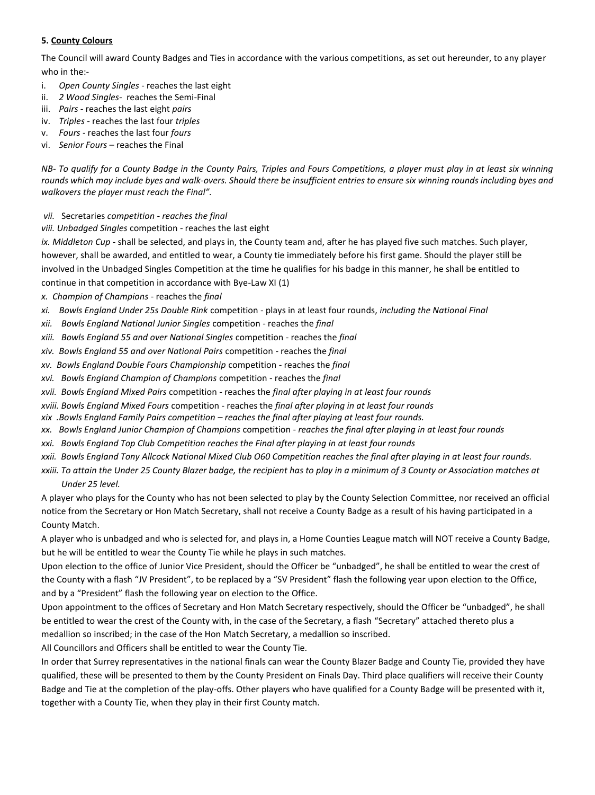### **5. County Colours**

The Council will award County Badges and Ties in accordance with the various competitions, as set out hereunder, to any player who in the:-

- i. *Open County Singles* reaches the last eight
- ii. *2 Wood Singles-* reaches the Semi-Final
- iii. *Pairs* reaches the last eight *pairs*
- iv. *Triples* reaches the last four *triples*
- v. *Fours* reaches the last four *fours*
- vi. *Senior Fours* reaches the Final

*NB- To qualify for a County Badge in the County Pairs, Triples and Fours Competitions, a player must play in at least six winning rounds which may include byes and walk-overs. Should there be insufficient entries to ensure six winning rounds including byes and walkovers the player must reach the Final".*

- *vii.* Secretaries *competition - reaches the final*
- *viii. Unbadged Singles* competition reaches the last eight

*ix. Middleton Cup* - shall be selected, and plays in, the County team and, after he has played five such matches. Such player, however, shall be awarded, and entitled to wear, a County tie immediately before his first game. Should the player still be involved in the Unbadged Singles Competition at the time he qualifies for his badge in this manner, he shall be entitled to continue in that competition in accordance with Bye-Law XI (1)

*x. Champion of Champions* - reaches the *final*

- *xi. Bowls England Under 25s Double Rink* competition plays in at least four rounds, *including the National Final*
- *xii. Bowls England National Junior Singles* competition reaches the *final*
- *xiii. Bowls England 55 and over National Singles* competition reaches the *final*
- *xiv. Bowls England 55 and over National Pairs* competition reaches the *final*
- *xv. Bowls England Double Fours Championship* competition reaches the *final*
- *xvi. Bowls England Champion of Champions* competition reaches the *final*
- *xvii. Bowls England Mixed Pairs* competition reaches the *final after playing in at least four rounds*
- *xviii. Bowls England Mixed Fours* competition reaches the *final after playing in at least four rounds*
- *xix .Bowls England Family Pairs competition – reaches the final after playing at least four rounds.*
- *xx. Bowls England Junior Champion of Champions* competition *reaches the final after playing in at least four rounds*
- *xxi. Bowls England Top Club Competition reaches the Final after playing in at least four rounds*
- *xxii. Bowls England Tony Allcock National Mixed Club O60 Competition reaches the final after playing in at least four rounds.*
- *xxiii. To attain the Under 25 County Blazer badge, the recipient has to play in a minimum of 3 County or Association matches at Under 25 level.*

A player who plays for the County who has not been selected to play by the County Selection Committee, nor received an official notice from the Secretary or Hon Match Secretary, shall not receive a County Badge as a result of his having participated in a County Match.

A player who is unbadged and who is selected for, and plays in, a Home Counties League match will NOT receive a County Badge, but he will be entitled to wear the County Tie while he plays in such matches.

Upon election to the office of Junior Vice President, should the Officer be "unbadged", he shall be entitled to wear the crest of the County with a flash "JV President", to be replaced by a "SV President" flash the following year upon election to the Office, and by a "President" flash the following year on election to the Office.

Upon appointment to the offices of Secretary and Hon Match Secretary respectively, should the Officer be "unbadged", he shall be entitled to wear the crest of the County with, in the case of the Secretary, a flash "Secretary" attached thereto plus a medallion so inscribed; in the case of the Hon Match Secretary, a medallion so inscribed.

All Councillors and Officers shall be entitled to wear the County Tie.

In order that Surrey representatives in the national finals can wear the County Blazer Badge and County Tie, provided they have qualified, these will be presented to them by the County President on Finals Day. Third place qualifiers will receive their County Badge and Tie at the completion of the play-offs. Other players who have qualified for a County Badge will be presented with it, together with a County Tie, when they play in their first County match.